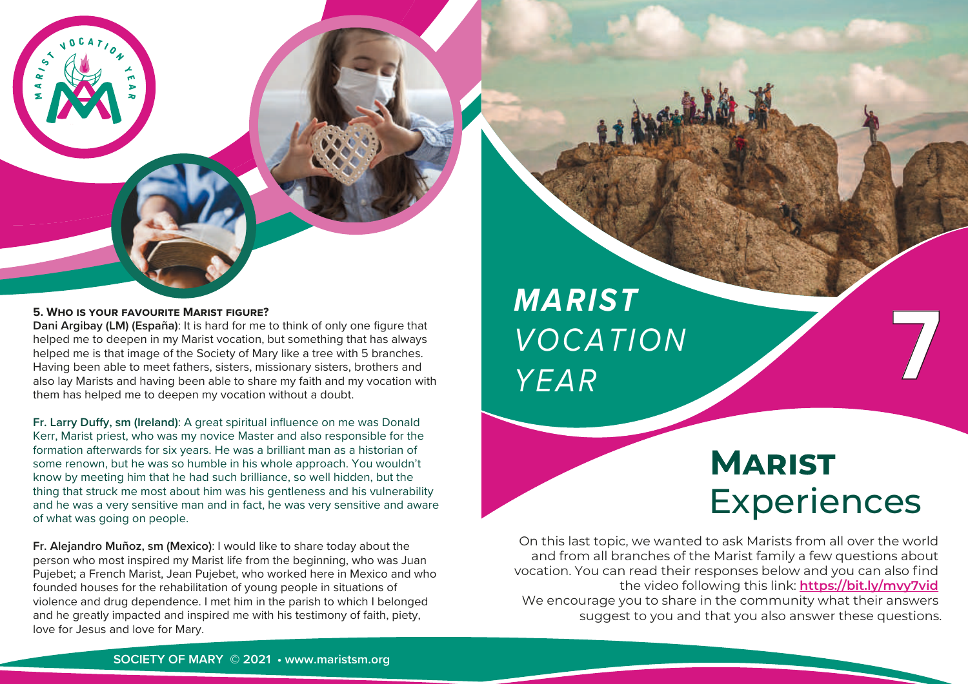

**Dani Argibay (LM) (España)**: It is hard for me to think of only one figure that helped me to deepen in my Marist vocation, but something that has always helped me is that image of the Society of Mary like a tree with 5 branches. Having been able to meet fathers, sisters, missionary sisters, brothers and also lay Marists and having been able to share my faith and my vocation with them has helped me to deepen my vocation without a doubt.

**Fr. Larry Duffy, sm (Ireland):** A great spiritual influence on me was Donald Kerr, Marist priest, who was my novice Master and also responsible for the formation afterwards for six years. He was a brilliant man as a historian of some renown, but he was so humble in his whole approach. You wouldn't know by meeting him that he had such brilliance, so well hidden, but the thing that struck me most about him was his gentleness and his vulnerability and he was a very sensitive man and in fact, he was very sensitive and aware of what was going on people.

**Fr. Alejandro Muñoz, sm (Mexico)**: I would like to share today about the person who most inspired my Marist life from the beginning, who was Juan Pujebet; a French Marist, Jean Pujebet, who worked here in Mexico and who founded houses for the rehabilitation of young people in situations of violence and drug dependence. I met him in the parish to which I belonged and he greatly impacted and inspired me with his testimony of faith, piety, love for Jesus and love for Mary.

*MARIST VOCATION YEAR*

# **MARIST Experiences**

**7**

On this last topic, we wanted to ask Marists from all over the world and from all branches of the Marist family a few questions about vocation. You can read their responses below and you can also find the video following this link: **https://bit.ly/mvy7vid**  We encourage you to share in the community what their answers suggest to you and that you also answer these questions.